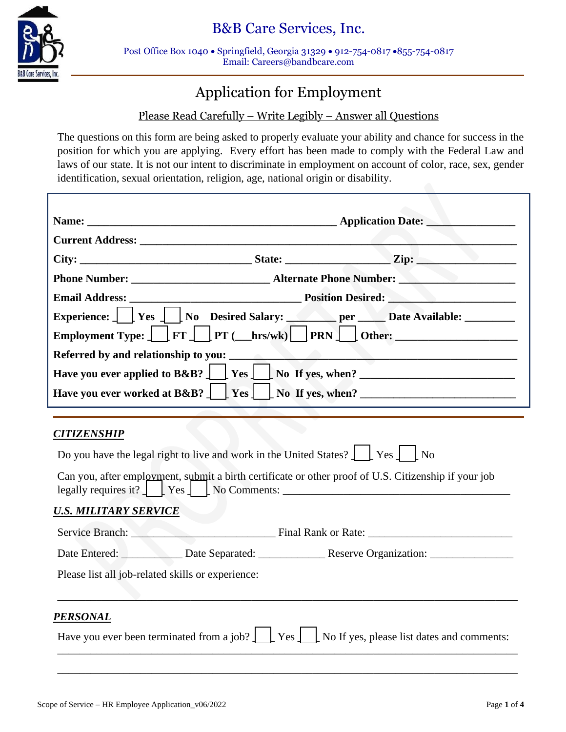

Post Office Box 1040 • Springfield, Georgia 31329 • 912-754-0817 •855-754-0817 Email: Careers@bandbcare.com

# Application for Employment

# Please Read Carefully – Write Legibly – Answer all Questions

The questions on this form are being asked to properly evaluate your ability and chance for success in the position for which you are applying. Every effort has been made to comply with the Federal Law and laws of our state. It is not our intent to discriminate in employment on account of color, race, sex, gender identification, sexual orientation, religion, age, national origin or disability.

|  | Experience: $\int$   Yes     No Desired Salary: per Date Available:<br>Employment Type: $\boxed{\phantom{\cdot}}$ FT $\boxed{\phantom{\cdot}}$ PT ( $\boxed{\phantom{\cdot}}$ hrs/wk) $\phantom{\cdot}$ PRN $\boxed{\phantom{\cdot}}$ Other: |  |
|--|----------------------------------------------------------------------------------------------------------------------------------------------------------------------------------------------------------------------------------------------|--|
|  |                                                                                                                                                                                                                                              |  |
|  | Have you ever applied to B&B? $\Box$ Yes $\Box$ No If yes, when?                                                                                                                                                                             |  |
|  |                                                                                                                                                                                                                                              |  |

## *CITIZENSHIP*

|                                                                                                                                                                                                                             | Do you have the legal right to live and work in the United States? $\int$ [Yes ] [No                                                                                 |  |  |  |
|-----------------------------------------------------------------------------------------------------------------------------------------------------------------------------------------------------------------------------|----------------------------------------------------------------------------------------------------------------------------------------------------------------------|--|--|--|
| Can you, after employment, submit a birth certificate or other proof of U.S. Citizenship if your job<br>legally requires it? $\begin{bmatrix} \text{Yes} \end{bmatrix}$ $\begin{bmatrix} \text{No Comments:} \end{bmatrix}$ |                                                                                                                                                                      |  |  |  |
| <b>U.S. MILITARY SERVICE</b>                                                                                                                                                                                                |                                                                                                                                                                      |  |  |  |
|                                                                                                                                                                                                                             | Service Branch: Final Rank or Rate:                                                                                                                                  |  |  |  |
|                                                                                                                                                                                                                             |                                                                                                                                                                      |  |  |  |
| Please list all job-related skills or experience:                                                                                                                                                                           |                                                                                                                                                                      |  |  |  |
| PERSONAL                                                                                                                                                                                                                    |                                                                                                                                                                      |  |  |  |
|                                                                                                                                                                                                                             | Have you ever been terminated from a job? $\lfloor \frac{\cdot}{\cdot} \rfloor$ Yes $\lfloor \frac{\cdot}{\cdot} \rfloor$ No If yes, please list dates and comments: |  |  |  |

\_\_\_\_\_\_\_\_\_\_\_\_\_\_\_\_\_\_\_\_\_\_\_\_\_\_\_\_\_\_\_\_\_\_\_\_\_\_\_\_\_\_\_\_\_\_\_\_\_\_\_\_\_\_\_\_\_\_\_\_\_\_\_\_\_\_\_\_\_\_\_\_\_\_\_\_\_\_\_\_\_\_\_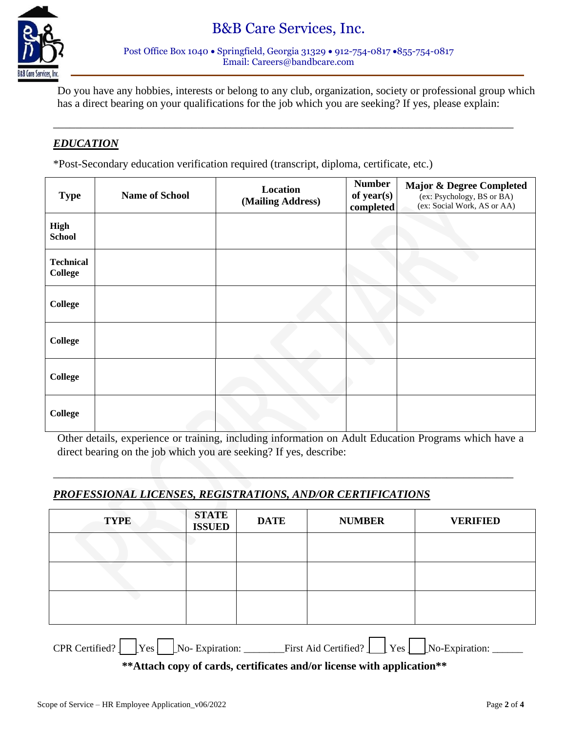



\_\_\_\_\_\_\_\_\_\_\_\_\_\_\_\_\_\_\_\_\_\_\_\_\_\_\_\_\_\_\_\_\_\_\_\_\_\_\_\_\_\_\_\_\_\_\_\_\_\_\_\_\_\_\_\_\_\_\_\_\_\_\_\_\_\_\_\_\_\_\_\_\_\_\_\_\_\_\_\_\_\_\_

Do you have any hobbies, interests or belong to any club, organization, society or professional group which has a direct bearing on your qualifications for the job which you are seeking? If yes, please explain:

### *EDUCATION*

\*Post-Secondary education verification required (transcript, diploma, certificate, etc.)

| <b>Type</b>                        | <b>Name of School</b> | Location<br>(Mailing Address) | <b>Number</b><br>of year(s)<br>completed | <b>Major &amp; Degree Completed</b><br>(ex: Psychology, BS or BA)<br>(ex: Social Work, AS or AA) |
|------------------------------------|-----------------------|-------------------------------|------------------------------------------|--------------------------------------------------------------------------------------------------|
| <b>High</b><br><b>School</b>       |                       |                               |                                          |                                                                                                  |
| <b>Technical</b><br><b>College</b> |                       |                               |                                          |                                                                                                  |
| <b>College</b>                     |                       |                               |                                          |                                                                                                  |
| <b>College</b>                     |                       |                               |                                          |                                                                                                  |
| <b>College</b>                     |                       |                               |                                          |                                                                                                  |
| <b>College</b>                     |                       |                               |                                          |                                                                                                  |

Other details, experience or training, including information on Adult Education Programs which have a direct bearing on the job which you are seeking? If yes, describe:

 $\Box$ 

## *PROFESSIONAL LICENSES, REGISTRATIONS, AND/OR CERTIFICATIONS*

| <b>TYPE</b>                                                                                                                                                                          | <b>STATE</b><br><b>ISSUED</b> | <b>DATE</b> | <b>NUMBER</b> | <b>VERIFIED</b> |
|--------------------------------------------------------------------------------------------------------------------------------------------------------------------------------------|-------------------------------|-------------|---------------|-----------------|
|                                                                                                                                                                                      |                               |             |               |                 |
|                                                                                                                                                                                      |                               |             |               |                 |
|                                                                                                                                                                                      |                               |             |               |                 |
| $CPR$ Certified? $\sqrt{\phantom{a}}$ Yes $\sqrt{\phantom{a}}$ No-Expiration: $\sqrt{\phantom{a}}$ First Aid Certified? $\sqrt{\phantom{a}}$ Yes $\sqrt{\phantom{a}}$ No-Expiration: |                               |             |               |                 |
| **Attach copy of cards, certificates and/or license with application**                                                                                                               |                               |             |               |                 |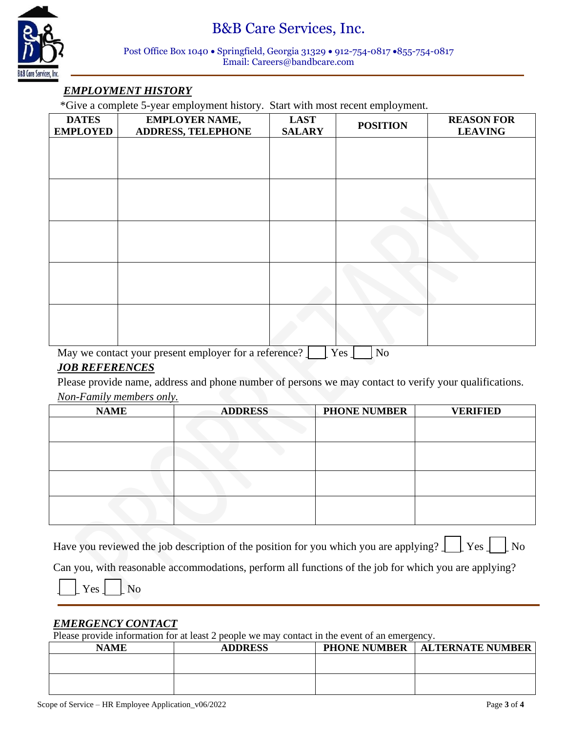

#### Post Office Box 1040 • Springfield, Georgia 31329 • 912-754-0817 •855-754-0817 Email: Careers@bandbcare.com

# *EMPLOYMENT HISTORY*

\*Give a complete 5-year employment history. Start with most recent employment.

| <b>POSITION</b> | <b>REASON FOR</b><br><b>LEAVING</b> |
|-----------------|-------------------------------------|
|                 |                                     |
|                 |                                     |
|                 |                                     |
|                 |                                     |
|                 |                                     |
|                 |                                     |
|                 |                                     |
|                 |                                     |
|                 |                                     |
|                 |                                     |
|                 | $NT -$                              |

May we contact your present employer for a reference?  $\Box$  Yes  $\Box$  No

### *JOB REFERENCES*

Please provide name, address and phone number of persons we may contact to verify your qualifications. *Non-Family members only.*

| <b>NAME</b> | <b>ADDRESS</b> | <b>PHONE NUMBER</b> | <b>VERIFIED</b> |
|-------------|----------------|---------------------|-----------------|
|             |                |                     |                 |
|             |                |                     |                 |
|             |                |                     |                 |
|             |                |                     |                 |
|             |                |                     |                 |
|             |                |                     |                 |
|             |                |                     |                 |
|             |                |                     |                 |
|             |                |                     |                 |

Have you reviewed the job description of the position for you which you are applying?  $\Box$  Yes  $\Box$  No

Can you, with reasonable accommodations, perform all functions of the job for which you are applying?



### *EMERGENCY CONTACT*

Please provide information for at least 2 people we may contact in the event of an emergency.

| <b>NAME</b> | <b>ADDRESS</b> | <b>PHONE NUMBER</b> | <b>ALTERNATE NUMBER</b> |
|-------------|----------------|---------------------|-------------------------|
|             |                |                     |                         |
|             |                |                     |                         |
|             |                |                     |                         |
|             |                |                     |                         |